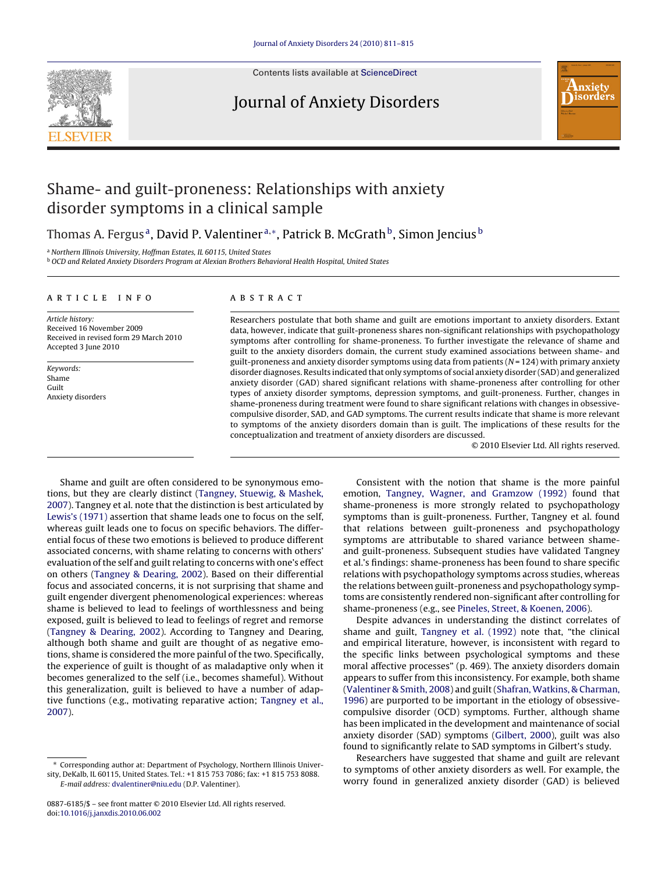

Contents lists available at [ScienceDirect](http://www.sciencedirect.com/science/journal/08876185)

### Journal of Anxiety Disorders



## Shame- and guilt-proneness: Relationships with anxiety disorder symptoms in a clinical sample

Thomas A. Fergus<sup>a</sup>, David P. Valentiner<sup>a,\*</sup>, Patrick B. McGrath<sup>b</sup>, Simon Jencius<sup>b</sup>

<sup>a</sup> Northern Illinois University, Hoffman Estates, IL 60115, United States

<sup>b</sup> OCD and Related Anxiety Disorders Program at Alexian Brothers Behavioral Health Hospital, United States

#### article info

Article history: Received 16 November 2009 Received in revised form 29 March 2010 Accepted 3 June 2010

Keywords: Shame Guilt Anxiety disorders

#### **ABSTRACT**

Researchers postulate that both shame and guilt are emotions important to anxiety disorders. Extant data, however, indicate that guilt-proneness shares non-significant relationships with psychopathology symptoms after controlling for shame-proneness. To further investigate the relevance of shame and guilt to the anxiety disorders domain, the current study examined associations between shame- and guilt-proneness and anxiety disorder symptoms using data from patients  $(N = 124)$  with primary anxiety disorder diagnoses. Results indicated that only symptoms of social anxiety disorder (SAD) and generalized anxiety disorder (GAD) shared significant relations with shame-proneness after controlling for other types of anxiety disorder symptoms, depression symptoms, and guilt-proneness. Further, changes in shame-proneness during treatment were found to share significant relations with changes in obsessivecompulsive disorder, SAD, and GAD symptoms. The current results indicate that shame is more relevant to symptoms of the anxiety disorders domain than is guilt. The implications of these results for the conceptualization and treatment of anxiety disorders are discussed.

© 2010 Elsevier Ltd. All rights reserved.

Shame and guilt are often considered to be synonymous emotions, but they are clearly distinct ([Tangney, Stuewig, & Mashek,](#page--1-0) [2007\).](#page--1-0) Tangney et al. note that the distinction is best articulated by [Lewis's \(1971\)](#page--1-0) assertion that shame leads one to focus on the self, whereas guilt leads one to focus on specific behaviors. The differential focus of these two emotions is believed to produce different associated concerns, with shame relating to concerns with others' evaluation of the self and guilt relating to concerns with one's effect on others ([Tangney & Dearing, 2002\).](#page--1-0) Based on their differential focus and associated concerns, it is not surprising that shame and guilt engender divergent phenomenological experiences: whereas shame is believed to lead to feelings of worthlessness and being exposed, guilt is believed to lead to feelings of regret and remorse ([Tangney & Dearing, 2002\).](#page--1-0) According to Tangney and Dearing, although both shame and guilt are thought of as negative emotions, shame is considered the more painful of the two. Specifically, the experience of guilt is thought of as maladaptive only when it becomes generalized to the self (i.e., becomes shameful). Without this generalization, guilt is believed to have a number of adaptive functions (e.g., motivating reparative action; [Tangney et al.,](#page--1-0) [2007\).](#page--1-0)

Consistent with the notion that shame is the more painful emotion, [Tangney, Wagner, and Gramzow \(1992\)](#page--1-0) found that shame-proneness is more strongly related to psychopathology symptoms than is guilt-proneness. Further, Tangney et al. found that relations between guilt-proneness and psychopathology symptoms are attributable to shared variance between shameand guilt-proneness. Subsequent studies have validated Tangney et al.'s findings: shame-proneness has been found to share specific relations with psychopathology symptoms across studies, whereas the relations between guilt-proneness and psychopathology symptoms are consistently rendered non-significant after controlling for shame-proneness (e.g., see [Pineles, Street, & Koenen, 2006\).](#page--1-0)

Despite advances in understanding the distinct correlates of shame and guilt, [Tangney et al. \(1992\)](#page--1-0) note that, "the clinical and empirical literature, however, is inconsistent with regard to the specific links between psychological symptoms and these moral affective processes" (p. 469). The anxiety disorders domain appears to suffer from this inconsistency. For example, both shame [\(Valentiner & Smith, 2008\) a](#page--1-0)nd guilt ([Shafran, Watkins, & Charman,](#page--1-0) [1996\)](#page--1-0) are purported to be important in the etiology of obsessivecompulsive disorder (OCD) symptoms. Further, although shame has been implicated in the development and maintenance of social anxiety disorder (SAD) symptoms [\(Gilbert, 2000\),](#page--1-0) guilt was also found to significantly relate to SAD symptoms in Gilbert's study.

Researchers have suggested that shame and guilt are relevant to symptoms of other anxiety disorders as well. For example, the worry found in generalized anxiety disorder (GAD) is believed

<sup>∗</sup> Corresponding author at: Department of Psychology, Northern Illinois University, DeKalb, IL 60115, United States. Tel.: +1 815 753 7086; fax: +1 815 753 8088. E-mail address: [dvalentiner@niu.edu](mailto:dvalentiner@niu.edu) (D.P. Valentiner).

<sup>0887-6185/\$ –</sup> see front matter © 2010 Elsevier Ltd. All rights reserved. doi:[10.1016/j.janxdis.2010.06.002](dx.doi.org/10.1016/j.janxdis.2010.06.002)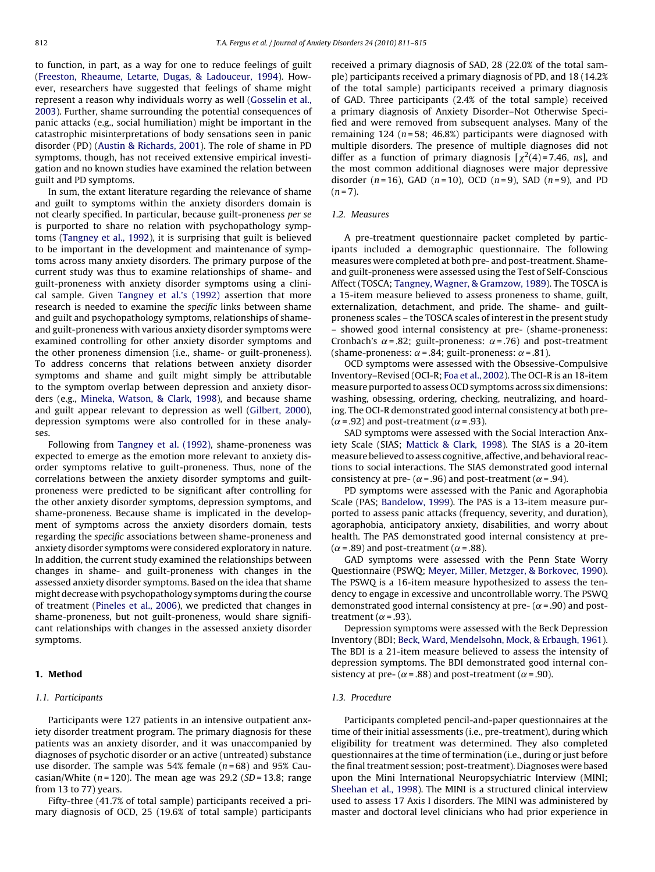to function, in part, as a way for one to reduce feelings of guilt ([Freeston, Rheaume, Letarte, Dugas, & Ladouceur, 1994\).](#page--1-0) However, researchers have suggested that feelings of shame might represent a reason why individuals worry as well [\(Gosselin et al.,](#page--1-0) [2003\).](#page--1-0) Further, shame surrounding the potential consequences of panic attacks (e.g., social humiliation) might be important in the catastrophic misinterpretations of body sensations seen in panic disorder (PD) [\(Austin & Richards, 2001\).](#page--1-0) The role of shame in PD symptoms, though, has not received extensive empirical investigation and no known studies have examined the relation between guilt and PD symptoms.

In sum, the extant literature regarding the relevance of shame and guilt to symptoms within the anxiety disorders domain is not clearly specified. In particular, because guilt-proneness per se is purported to share no relation with psychopathology symptoms [\(Tangney et al., 1992\),](#page--1-0) it is surprising that guilt is believed to be important in the development and maintenance of symptoms across many anxiety disorders. The primary purpose of the current study was thus to examine relationships of shame- and guilt-proneness with anxiety disorder symptoms using a clinical sample. Given [Tangney et al.'s \(1992\)](#page--1-0) assertion that more research is needed to examine the specific links between shame and guilt and psychopathology symptoms, relationships of shameand guilt-proneness with various anxiety disorder symptoms were examined controlling for other anxiety disorder symptoms and the other proneness dimension (i.e., shame- or guilt-proneness). To address concerns that relations between anxiety disorder symptoms and shame and guilt might simply be attributable to the symptom overlap between depression and anxiety disorders (e.g., [Mineka, Watson, & Clark, 1998\),](#page--1-0) and because shame and guilt appear relevant to depression as well [\(Gilbert, 2000\),](#page--1-0) depression symptoms were also controlled for in these analyses.

Following from [Tangney et al. \(1992\),](#page--1-0) shame-proneness was expected to emerge as the emotion more relevant to anxiety disorder symptoms relative to guilt-proneness. Thus, none of the correlations between the anxiety disorder symptoms and guiltproneness were predicted to be significant after controlling for the other anxiety disorder symptoms, depression symptoms, and shame-proneness. Because shame is implicated in the development of symptoms across the anxiety disorders domain, tests regarding the specific associations between shame-proneness and anxiety disorder symptoms were considered exploratory in nature. In addition, the current study examined the relationships between changes in shame- and guilt-proneness with changes in the assessed anxiety disorder symptoms. Based on the idea that shame might decrease with psychopathology symptoms during the course of treatment [\(Pineles et al., 2006\),](#page--1-0) we predicted that changes in shame-proneness, but not guilt-proneness, would share significant relationships with changes in the assessed anxiety disorder symptoms.

#### **1. Method**

#### 1.1. Participants

Participants were 127 patients in an intensive outpatient anxiety disorder treatment program. The primary diagnosis for these patients was an anxiety disorder, and it was unaccompanied by diagnoses of psychotic disorder or an active (untreated) substance use disorder. The sample was 54% female ( $n = 68$ ) and 95% Caucasian/White ( $n = 120$ ). The mean age was 29.2 ( $SD = 13.8$ ; range from 13 to 77) years.

Fifty-three (41.7% of total sample) participants received a primary diagnosis of OCD, 25 (19.6% of total sample) participants received a primary diagnosis of SAD, 28 (22.0% of the total sample) participants received a primary diagnosis of PD, and 18 (14.2% of the total sample) participants received a primary diagnosis of GAD. Three participants (2.4% of the total sample) received a primary diagnosis of Anxiety Disorder–Not Otherwise Specified and were removed from subsequent analyses. Many of the remaining 124 ( $n = 58$ ; 46.8%) participants were diagnosed with multiple disorders. The presence of multiple diagnoses did not differ as a function of primary diagnosis  $\chi^2(4)$ =7.46, ns], and the most common additional diagnoses were major depressive disorder  $(n = 16)$ , GAD  $(n = 10)$ , OCD  $(n = 9)$ , SAD  $(n = 9)$ , and PD  $(n=7)$ .

#### 1.2. Measures

A pre-treatment questionnaire packet completed by participants included a demographic questionnaire. The following measures were completed at both pre- and post-treatment. Shameand guilt-proneness were assessed using the Test of Self-Conscious Affect (TOSCA; [Tangney, Wagner, & Gramzow, 1989\).](#page--1-0) The TOSCA is a 15-item measure believed to assess proneness to shame, guilt, externalization, detachment, and pride. The shame- and guiltproneness scales – the TOSCA scales of interest in the present study showed good internal consistency at pre- (shame-proneness: Cronbach's  $\alpha$  = .82; guilt-proneness:  $\alpha$  = .76) and post-treatment (shame-proneness:  $\alpha$  = .84; guilt-proneness:  $\alpha$  = .81).

OCD symptoms were assessed with the Obsessive-Compulsive Inventory–Revised (OCI-R; [Foa et al., 2002\).](#page--1-0) The OCI-R is an 18-item measure purported to assess OCD symptoms across six dimensions: washing, obsessing, ordering, checking, neutralizing, and hoarding. The OCI-R demonstrated good internal consistency at both pre-  $(\alpha = .92)$  and post-treatment ( $\alpha = .93$ ).

SAD symptoms were assessed with the Social Interaction Anxiety Scale (SIAS; [Mattick & Clark, 1998\).](#page--1-0) The SIAS is a 20-item measure believed to assess cognitive, affective, and behavioral reactions to social interactions. The SIAS demonstrated good internal consistency at pre- ( $\alpha$  = .96) and post-treatment ( $\alpha$  = .94).

PD symptoms were assessed with the Panic and Agoraphobia Scale (PAS; [Bandelow, 1999\).](#page--1-0) The PAS is a 13-item measure purported to assess panic attacks (frequency, severity, and duration), agoraphobia, anticipatory anxiety, disabilities, and worry about health. The PAS demonstrated good internal consistency at pre-  $(\alpha = .89)$  and post-treatment ( $\alpha = .88$ ).

GAD symptoms were assessed with the Penn State Worry Questionnaire (PSWQ; [Meyer, Miller, Metzger, & Borkovec, 1990\).](#page--1-0) The PSWQ is a 16-item measure hypothesized to assess the tendency to engage in excessive and uncontrollable worry. The PSWQ demonstrated good internal consistency at pre-  $(\alpha = .90)$  and posttreatment ( $\alpha$  = .93).

Depression symptoms were assessed with the Beck Depression Inventory (BDI; [Beck, Ward, Mendelsohn, Mock, & Erbaugh, 1961\).](#page--1-0) The BDI is a 21-item measure believed to assess the intensity of depression symptoms. The BDI demonstrated good internal consistency at pre- ( $\alpha$  = .88) and post-treatment ( $\alpha$  = .90).

#### 1.3. Procedure

Participants completed pencil-and-paper questionnaires at the time of their initial assessments (i.e., pre-treatment), during which eligibility for treatment was determined. They also completed questionnaires at the time of termination (i.e., during or just before the final treatment session; post-treatment). Diagnoses were based upon the Mini International Neuropsychiatric Interview (MINI; [Sheehan et al., 1998\).](#page--1-0) The MINI is a structured clinical interview used to assess 17 Axis I disorders. The MINI was administered by master and doctoral level clinicians who had prior experience in